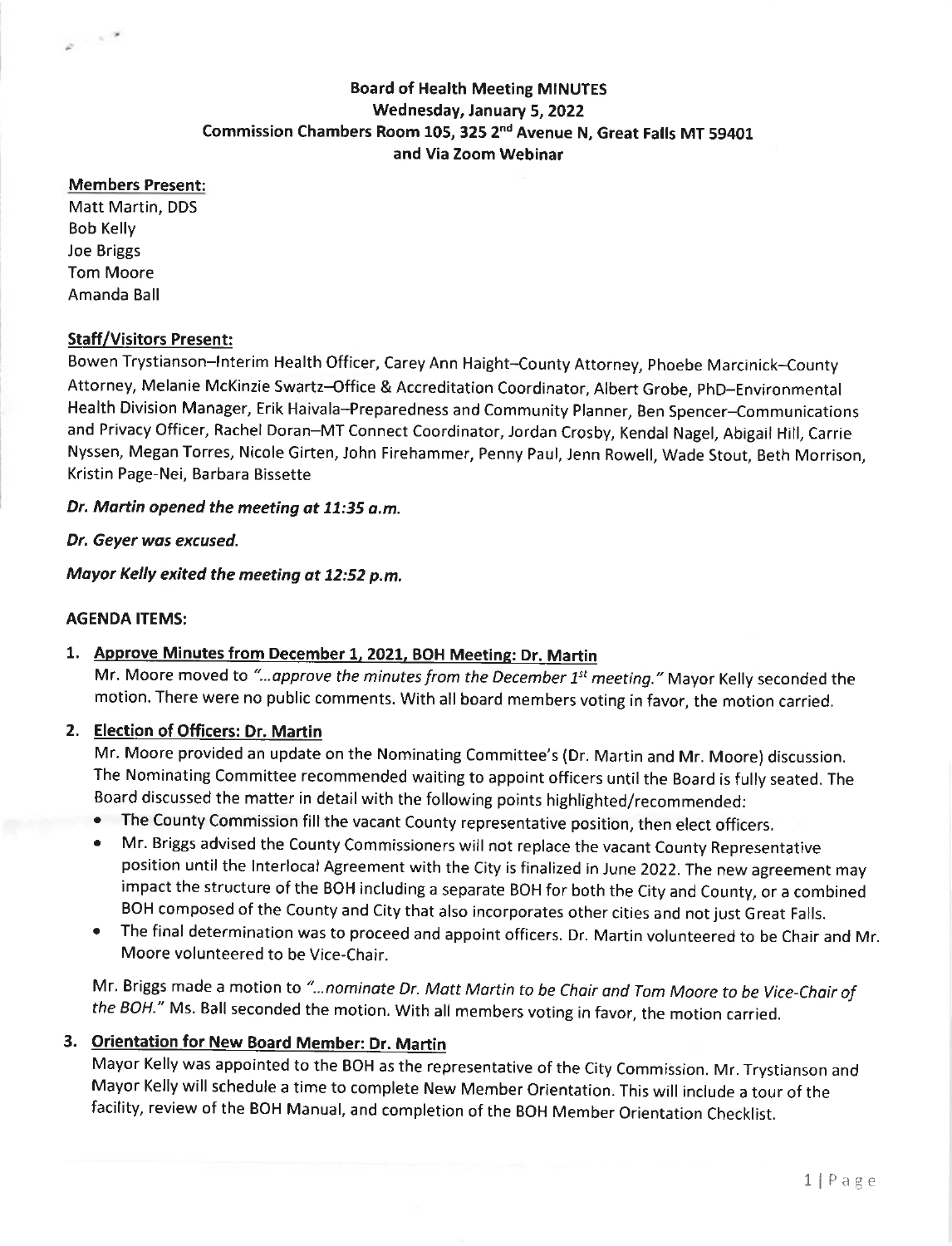# **Board of Health Meeting MINUTES** Wednesday, January 5, 2022 Commission Chambers Room 105, 325 2nd Avenue N, Great Falls MT 59401 and Via Zoom Webinar

#### Members Present:

 $\mathbf{z} = e^{\mathbf{z}}$ 

Matt Martin, DDS Bob Kelly Joe Briggs Tom Moore Amanda Ball

## Staff/Visitors Present:

Bowen Trystianson-lnterim Health Officer, Carey Ann Haight-County Attorney, phoebe Marcinick-County Attorney, Melanie McKinzie Swartz-Office & Accreditation Coordinator, Albert Grobe, phD-Environmental Health Division Manager, Erik Haivala-Preparedness and Community Planner, Ben Spencer-Communications and Privacy Officer, Rachel Doran-MT Connect Coordinator, Jordan Crosby, Kendal Nagel, Abigail Hill, Carrie Nyssen, Megan Torres, Nicole Girten, John Firehammer, Penny Paul, Jenn Rowell, Wade Stout, Beth Morrison, Kristin Page-Nei, Barbara Bissette

#### Dr. Martin opened the meeting at 11:35 a.m.

#### Dt. Geyer wos excused.

Moyor Kelly exited the meeting ot 12:52 p.m.

#### AGENDA ITEMS:

## 1, Approve Minutes from December 1, 2021, BOH Meeting: Dr. Martin

Mr. Moore moved to "...approve the minutes from the December 1<sup>st</sup> meeting." Mayor Kelly seconded the motion. There were no public comments. With all board members voting in favor, the motion carried.

## 2. Election of Offlcers: Dr. Martin

Mr. Moore provided an update on the Nominating Committee's (Dr. Martin and Mr. Moore) discussion. The Nominating Committee recommended waiting to appoint officers until the Board is fully seated. The Board discussed the matter in detail with the following points highlighted/recom mended:

- o The County Commission fill the vacant County representative position, then elect officers.
- ' Mr. Briggs advised the County Commissioners will not replace the vacant County Representative position until the Interlocal Agreement with the City is finalized in June 2022. The new agreement may impact the structure of the BOH including a separate BOH for both the City and County, or a combined BOH composed of the County and City that also incorporates other cities and not just Great Falls.
- o The final determination was to proceed and appoint officers. Dr. Martin volunteered to be Chair and Mr. Moore volunteered to be Vice-Chair.

Mr. Briggs made a motion to "...nominate Dr. Matt Martin to be Chair and Tom Moore to be Vice-Chair of the BOH." Ms. Ball seconded the motion. With all members voting in favor, the motion carried.

# 3. Orientation for New Board Member: Dr. Martin

Mayor Kelly was appointed to the BOH as the representative of the City Commission. Mr. Trystianson and Mayor Kelly will schedule a time to complete New Member orientation. This will include a tour of the facility, review of the BOH Manual, and completion of the BOH Member Orientation Checklist.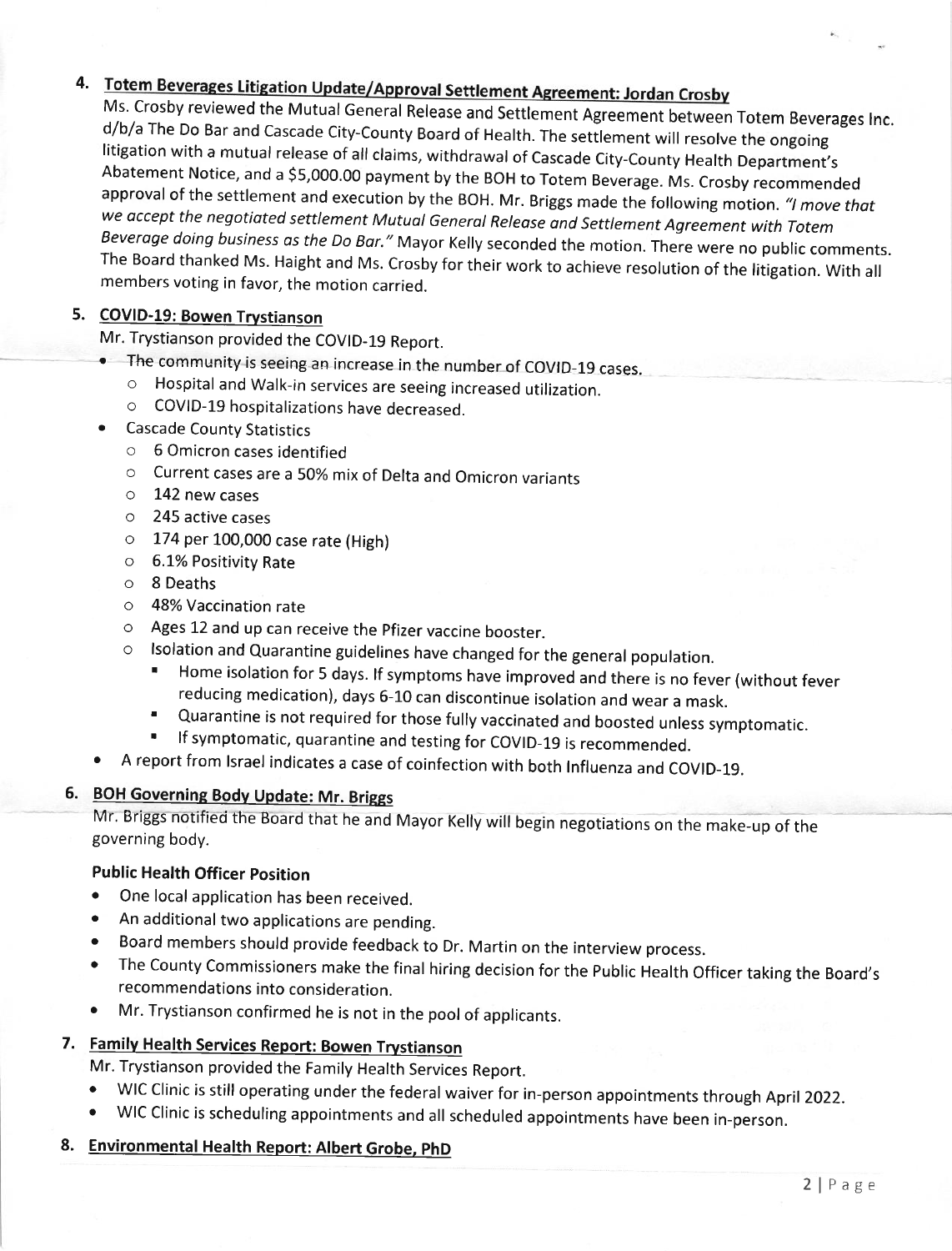# 4. Totem Beverages Litigation Update/Approval Settlement Agreement: Jordan Crosby

Ms. Crosby reviewed the Mutual General Release and Settlement Agreement between Totem Beverages Inc.<br>d/b/a The Do Bar and Cascade City-County Board of Health. The settlement will resolve the ongoing<br>litigation with a mutua Beverage doing business as the Do Bar." Mayor Kelly seconded the motion. There were no public comments.<br>The Board thanked Ms. Haight and Ms. Crosby for their work to achieve resolution of the litigation. With all members v

# 5. COVID-19: Bowen Trystianson

Mr. Trystianson provided the COVID-19 Report.

- The community is seeing an increase in the number of COVID-19 cases.
	- o Hospital and walk-in services are seeing increased utilization.
	- o COVID-19 hospitalizations have decreased.
- . Cascade County Statistics
	- o 6 Omicron cases identified
	- o current cases are a 50% mix of Delta and omicron variants
	- o 142 new cases
	- o 245 active cases
	- $\circ$  174 per 100,000 case rate (High)
	- o 6.1% Positivity Rate
	- o <sup>8</sup>Deaths
	- $\circ$  48% Vaccination rate
	- o Ages 12 and up can receive the Pfizer vaccine booster.
	- o lsolation and Quarantine guidelines have changed for the general population.
		- Home isolation for 5 days. If symptoms have improved and there is no fever (without fever reducing medication), days 6-10 can discontinue isolation and wear a mask.
		- Quarantine is not required for those fully vaccinated and boosted unless symptomatic.<br>If symptomatic, quarantine and testing for COVID-19 is recommended.
		-
- o A report from lsrael indicates a case of coinfection with both lnfluenza and COVID-19.

# 6. BOH Governing Body Update: Mr. Briggs

Mr. Briggs notified the Board that he and Mayor Kelly will begin negotiations on the make-up of the governing body.

## Public Health Officer position

- One local application has been received.
- o An additional two applications are pending.
- o Board members should provide feedback to Dr. Martin on the interview process.
- The County Commissioners make the final hiring decision for the Public Health Officer taking the Board's recommendations into consideration.
- o Mr. Trystianson confirmed he is not in the pool of applicants.

# 7. Family Health Services Report: Bowen Trystianson

Mr. Trystianson provided the Family Health Services Report.

- oWIC Clinic is still operating under the federal waiver for in-person appointments through April 2022.<br>
WIC Clinic is scheduling appointments and all scheduled appointments have been in-person.
- 
- 8. Environmental Health Report: Albert Grobe, PhD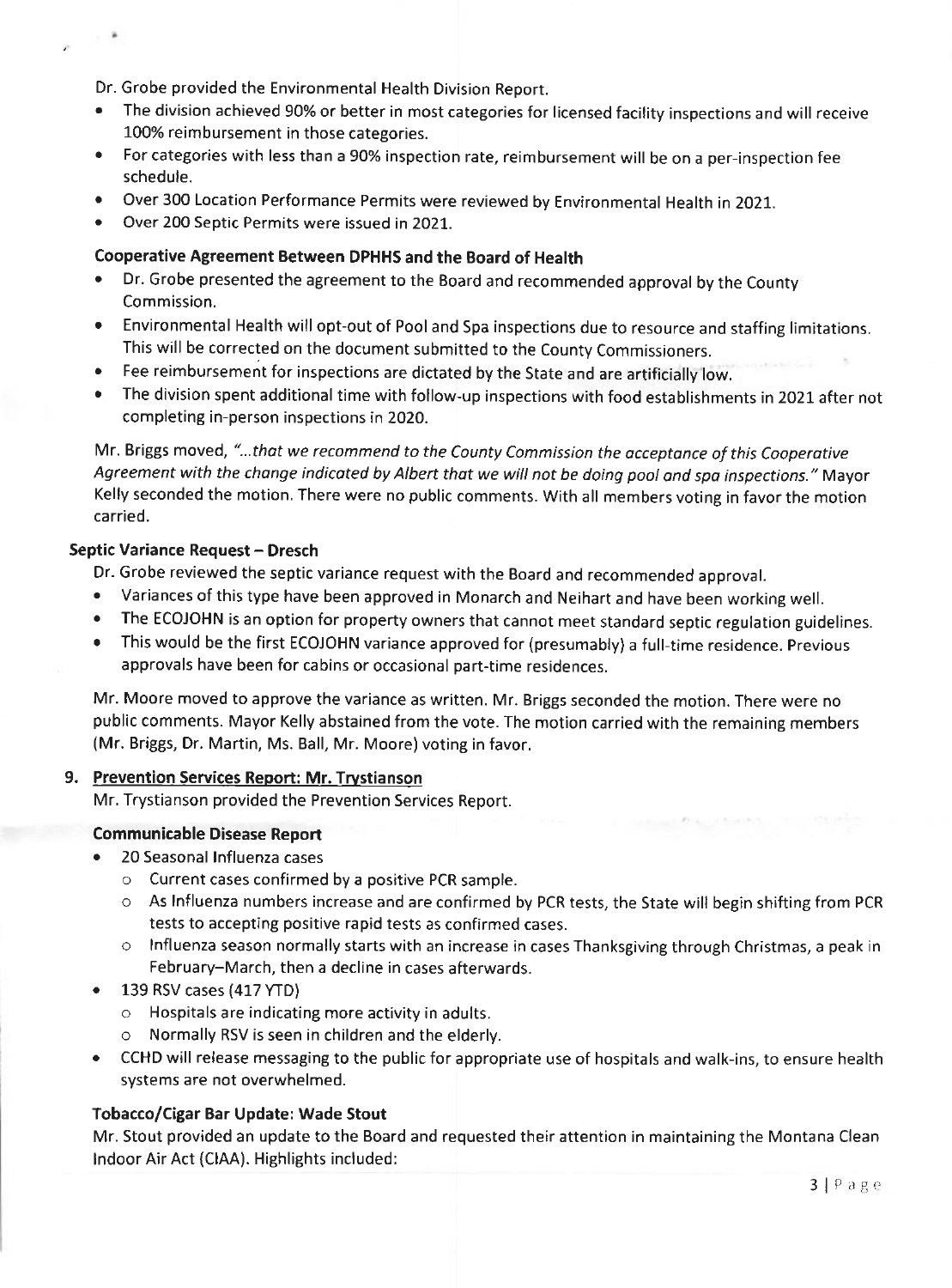Dr. Grobe provided the Environmental Health Division Report.

- The division achieved 90% or better in most categories for licensed facility inspections and will receive 100% reimbursement in those categories.
- . For categories with less than a 90% inspection rate, reimbursement will be on a per-inspection fee schedule.
- . Over 300 Location Performance Permits were reviewed by Environmental Health in 2021.
- . Over 200 Septic Permits were issued in 2021.

# Cooperative Agreement Between DPHHS and the Board of Health

- Dr. Grobe presented the agreement to the Board and recommended approval by the County Commission.
- . Environmental Health will opt-out of Pool and Spa inspections due to resource and staffing limltations. This will be corrected on the document submitted to the County Commissioners.
- o Fee reimbursement for inspections are dictated by the State and are artificially low.
- The division spent additional time with follow-up inspections with food establishments in 2021 after not completing in-person inspections in 2020.

Mr. Briggs moved, "...that we recommend to the County Commission the acceptance of this Cooperative Agreement with the change indicated by Albert that we will not be doing pool and spa inspections." Mayor Kelly seconded the motion. There were no public comments. With all members voting in favor the motion carried.

# Septic Variance Request - Dresch

Dr. Grobe reviewed the septic variance request with the Board and recommended approval.

- o Variances of this type have been approved in Monarch and Neihart and have been working well.
- o The ECOJOHN is an option for property owners that cannot meet standard septic regulation guidelines.
- o This would be the first ECOJOHN variance approved for (presumably) a full-time residence. Previous approvals have been for cabins or occasional part-time residences.

Mr. Moore moved to approve the variance as written. Mr. Briggs seconded the motion. There were no public comments. Mayor Kelly abstained from the vote. The motion carried with the remaining members (Mr. Briggs, Dr. Martin, Ms. Ball, Mr. Moore) voting in favor.

## 9. Prevention Services Report: Mr. Trystianson

Mr. Trystianson provided the Prevention Services Report.

## Communicable Disease Report

- 20 Seasonal Influenza cases
	- o Current cases confirmed by a positive PCR sample.
	- o As lnfluenza numbers increase and are confirmed by PCR tests, the State will begin shifting from PCR tests to accepting positive rapid tests as confirmed cases.

A Continued Print (America)

- o lnfluenza season normally starts with an increase in cases Thanksgiving through Christmas, a peak in February-March, then a decline in cases afterwards.
- $\bullet$  139 RSV cases (417 YTD)
	- $\circ$  Hospitals are indicating more activity in adults.
	- o Normally RSV is seen in children and the elderly.
- CCHD will release messaging to the public for appropriate use of hospitals and walk-ins, to ensure health systems are not overwhelmed.

# Tobacco/Cigar Bar Update: Wade Stout

Mr. Stout provided an update to the Board and requested their attention in maintaining the Montana Clean lndoor Air Act (CIAA). Highlights included: